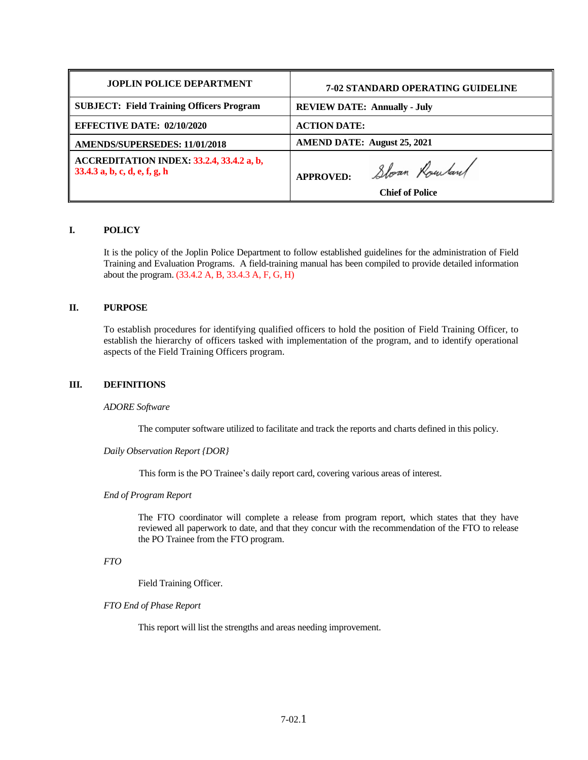| <b>JOPLIN POLICE DEPARTMENT</b>                                            | <b>7-02 STANDARD OPERATING GUIDELINE</b>                    |
|----------------------------------------------------------------------------|-------------------------------------------------------------|
| <b>SUBJECT: Field Training Officers Program</b>                            | <b>REVIEW DATE: Annually - July</b>                         |
| <b>EFFECTIVE DATE: 02/10/2020</b>                                          | <b>ACTION DATE:</b>                                         |
| <b>AMENDS/SUPERSEDES: 11/01/2018</b>                                       | <b>AMEND DATE: August 25, 2021</b>                          |
| ACCREDITATION INDEX: 33.2.4, 33.4.2 a, b,<br>33.4.3 a, b, c, d, e, f, g, h | Sloan Rowland<br><b>APPROVED:</b><br><b>Chief of Police</b> |

# **I. POLICY**

It is the policy of the Joplin Police Department to follow established guidelines for the administration of Field Training and Evaluation Programs. A field-training manual has been compiled to provide detailed information about the program. (33.4.2 A, B, 33.4.3 A, F, G, H)

## **II. PURPOSE**

To establish procedures for identifying qualified officers to hold the position of Field Training Officer, to establish the hierarchy of officers tasked with implementation of the program, and to identify operational aspects of the Field Training Officers program.

### **III. DEFINITIONS**

### *ADORE Software*

The computer software utilized to facilitate and track the reports and charts defined in this policy.

## *Daily Observation Report {DOR}*

This form is the PO Trainee's daily report card, covering various areas of interest.

### *End of Program Report*

The FTO coordinator will complete a release from program report, which states that they have reviewed all paperwork to date, and that they concur with the recommendation of the FTO to release the PO Trainee from the FTO program.

# *FTO*

Field Training Officer.

### *FTO End of Phase Report*

This report will list the strengths and areas needing improvement.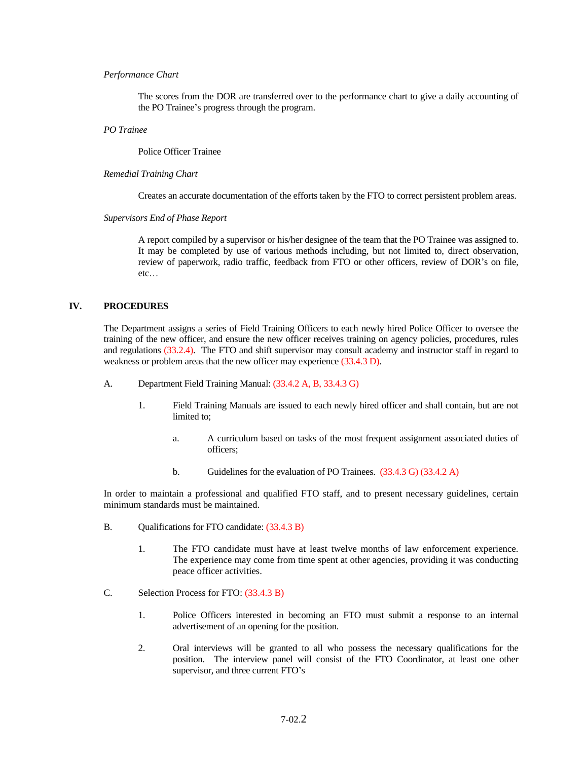## *Performance Chart*

The scores from the DOR are transferred over to the performance chart to give a daily accounting of the PO Trainee's progress through the program.

#### *PO Trainee*

Police Officer Trainee

#### *Remedial Training Chart*

Creates an accurate documentation of the efforts taken by the FTO to correct persistent problem areas.

#### *Supervisors End of Phase Report*

A report compiled by a supervisor or his/her designee of the team that the PO Trainee was assigned to. It may be completed by use of various methods including, but not limited to, direct observation, review of paperwork, radio traffic, feedback from FTO or other officers, review of DOR's on file, etc…

## **IV. PROCEDURES**

The Department assigns a series of Field Training Officers to each newly hired Police Officer to oversee the training of the new officer, and ensure the new officer receives training on agency policies, procedures, rules and regulations (33.2.4). The FTO and shift supervisor may consult academy and instructor staff in regard to weakness or problem areas that the new officer may experience (33.4.3 D).

- A. Department Field Training Manual: (33.4.2 A, B, 33.4.3 G)
	- 1. Field Training Manuals are issued to each newly hired officer and shall contain, but are not limited to;
		- a. A curriculum based on tasks of the most frequent assignment associated duties of officers;
		- b. Guidelines for the evaluation of PO Trainees. (33.4.3 G) (33.4.2 A)

In order to maintain a professional and qualified FTO staff, and to present necessary guidelines, certain minimum standards must be maintained.

- B. Qualifications for FTO candidate:  $(33.4.3 B)$ 
	- 1. The FTO candidate must have at least twelve months of law enforcement experience. The experience may come from time spent at other agencies, providing it was conducting peace officer activities.
- C. Selection Process for FTO: (33.4.3 B)
	- 1. Police Officers interested in becoming an FTO must submit a response to an internal advertisement of an opening for the position.
	- 2. Oral interviews will be granted to all who possess the necessary qualifications for the position. The interview panel will consist of the FTO Coordinator, at least one other supervisor, and three current FTO's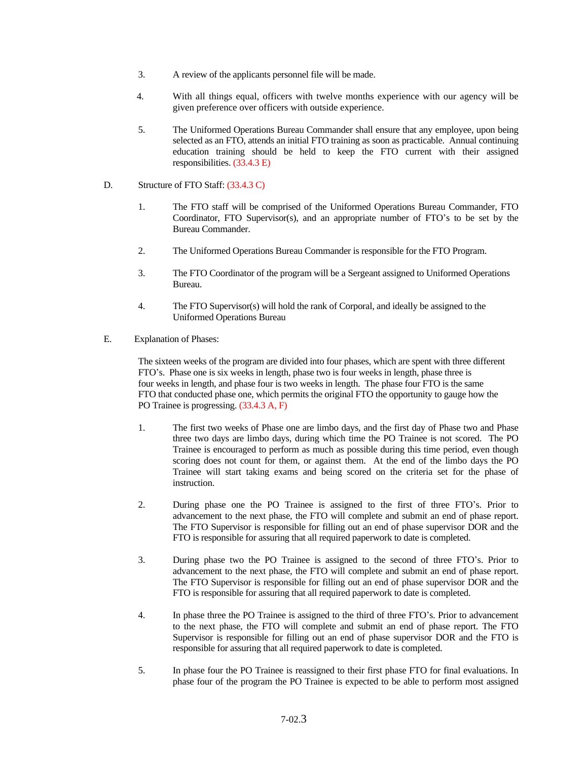- 3. A review of the applicants personnel file will be made.
- 4. With all things equal, officers with twelve months experience with our agency will be given preference over officers with outside experience.
- 5. The Uniformed Operations Bureau Commander shall ensure that any employee, upon being selected as an FTO, attends an initial FTO training as soon as practicable. Annual continuing education training should be held to keep the FTO current with their assigned responsibilities. (33.4.3 E)
- D. Structure of FTO Staff: (33.4.3 C)
	- 1. The FTO staff will be comprised of the Uniformed Operations Bureau Commander, FTO Coordinator, FTO Supervisor(s), and an appropriate number of FTO's to be set by the Bureau Commander.
	- 2. The Uniformed Operations Bureau Commander is responsible for the FTO Program.
	- 3. The FTO Coordinator of the program will be a Sergeant assigned to Uniformed Operations Bureau.
	- 4. The FTO Supervisor(s) will hold the rank of Corporal, and ideally be assigned to the Uniformed Operations Bureau
- E. Explanation of Phases:

The sixteen weeks of the program are divided into four phases, which are spent with three different FTO's. Phase one is six weeks in length, phase two is four weeks in length, phase three is four weeks in length, and phase four is two weeks in length. The phase four FTO is the same FTO that conducted phase one, which permits the original FTO the opportunity to gauge how the PO Trainee is progressing. (33.4.3 A, F)

- 1. The first two weeks of Phase one are limbo days, and the first day of Phase two and Phase three two days are limbo days, during which time the PO Trainee is not scored. The PO Trainee is encouraged to perform as much as possible during this time period, even though scoring does not count for them, or against them. At the end of the limbo days the PO Trainee will start taking exams and being scored on the criteria set for the phase of instruction.
- 2. During phase one the PO Trainee is assigned to the first of three FTO's. Prior to advancement to the next phase, the FTO will complete and submit an end of phase report. The FTO Supervisor is responsible for filling out an end of phase supervisor DOR and the FTO is responsible for assuring that all required paperwork to date is completed.
- 3. During phase two the PO Trainee is assigned to the second of three FTO's. Prior to advancement to the next phase, the FTO will complete and submit an end of phase report. The FTO Supervisor is responsible for filling out an end of phase supervisor DOR and the FTO is responsible for assuring that all required paperwork to date is completed.
- 4. In phase three the PO Trainee is assigned to the third of three FTO's. Prior to advancement to the next phase, the FTO will complete and submit an end of phase report. The FTO Supervisor is responsible for filling out an end of phase supervisor DOR and the FTO is responsible for assuring that all required paperwork to date is completed.
- 5. In phase four the PO Trainee is reassigned to their first phase FTO for final evaluations. In phase four of the program the PO Trainee is expected to be able to perform most assigned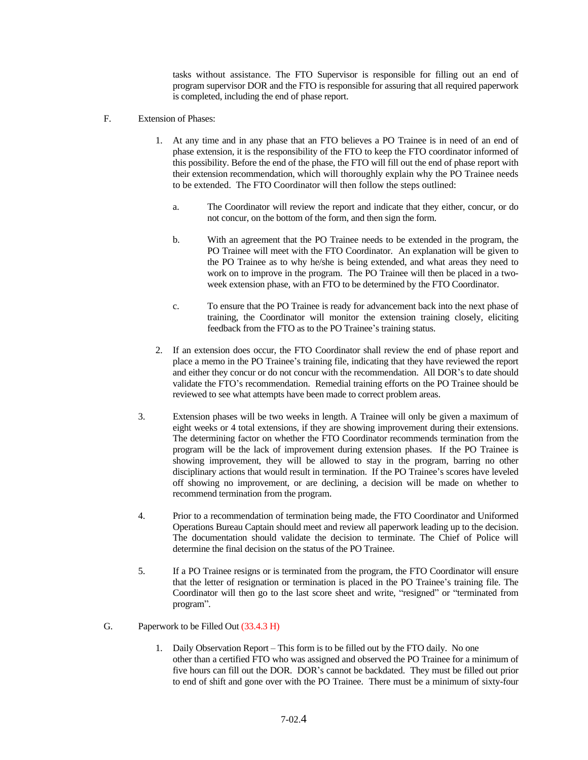tasks without assistance. The FTO Supervisor is responsible for filling out an end of program supervisor DOR and the FTO is responsible for assuring that all required paperwork is completed, including the end of phase report.

- F. Extension of Phases:
	- 1. At any time and in any phase that an FTO believes a PO Trainee is in need of an end of phase extension, it is the responsibility of the FTO to keep the FTO coordinator informed of this possibility. Before the end of the phase, the FTO will fill out the end of phase report with their extension recommendation, which will thoroughly explain why the PO Trainee needs to be extended. The FTO Coordinator will then follow the steps outlined:
		- a. The Coordinator will review the report and indicate that they either, concur, or do not concur, on the bottom of the form, and then sign the form.
		- b. With an agreement that the PO Trainee needs to be extended in the program, the PO Trainee will meet with the FTO Coordinator. An explanation will be given to the PO Trainee as to why he/she is being extended, and what areas they need to work on to improve in the program. The PO Trainee will then be placed in a twoweek extension phase, with an FTO to be determined by the FTO Coordinator.
		- c. To ensure that the PO Trainee is ready for advancement back into the next phase of training, the Coordinator will monitor the extension training closely, eliciting feedback from the FTO as to the PO Trainee's training status.
	- 2. If an extension does occur, the FTO Coordinator shall review the end of phase report and place a memo in the PO Trainee's training file, indicating that they have reviewed the report and either they concur or do not concur with the recommendation. All DOR's to date should validate the FTO's recommendation. Remedial training efforts on the PO Trainee should be reviewed to see what attempts have been made to correct problem areas.
	- 3. Extension phases will be two weeks in length. A Trainee will only be given a maximum of eight weeks or 4 total extensions, if they are showing improvement during their extensions. The determining factor on whether the FTO Coordinator recommends termination from the program will be the lack of improvement during extension phases. If the PO Trainee is showing improvement, they will be allowed to stay in the program, barring no other disciplinary actions that would result in termination. If the PO Trainee's scores have leveled off showing no improvement, or are declining, a decision will be made on whether to recommend termination from the program.
	- 4. Prior to a recommendation of termination being made, the FTO Coordinator and Uniformed Operations Bureau Captain should meet and review all paperwork leading up to the decision. The documentation should validate the decision to terminate. The Chief of Police will determine the final decision on the status of the PO Trainee.
	- 5. If a PO Trainee resigns or is terminated from the program, the FTO Coordinator will ensure that the letter of resignation or termination is placed in the PO Trainee's training file. The Coordinator will then go to the last score sheet and write, "resigned" or "terminated from program".
- G. Paperwork to be Filled Out (33.4.3 H)
	- 1. Daily Observation Report This form is to be filled out by the FTO daily. No one other than a certified FTO who was assigned and observed the PO Trainee for a minimum of five hours can fill out the DOR. DOR's cannot be backdated. They must be filled out prior to end of shift and gone over with the PO Trainee. There must be a minimum of sixty-four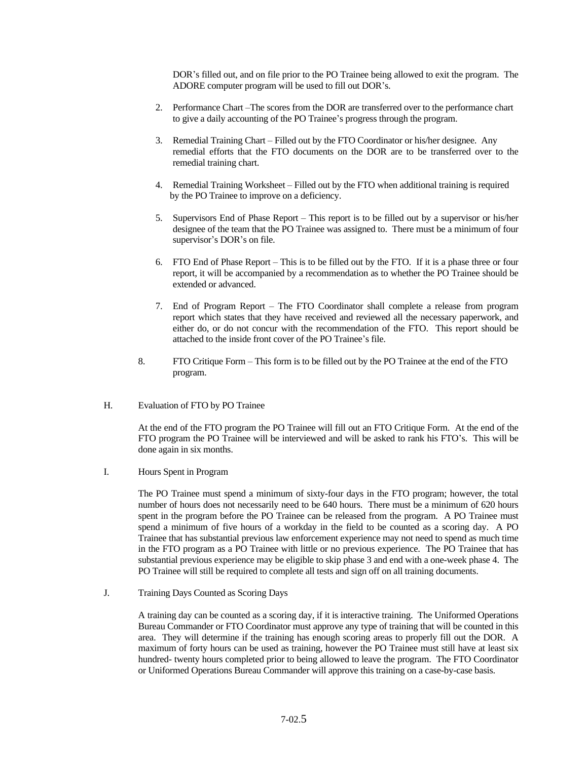DOR's filled out, and on file prior to the PO Trainee being allowed to exit the program. The ADORE computer program will be used to fill out DOR's.

- 2. Performance Chart –The scores from the DOR are transferred over to the performance chart to give a daily accounting of the PO Trainee's progress through the program.
- 3. Remedial Training Chart Filled out by the FTO Coordinator or his/her designee. Any remedial efforts that the FTO documents on the DOR are to be transferred over to the remedial training chart.
- 4. Remedial Training Worksheet Filled out by the FTO when additional training is required by the PO Trainee to improve on a deficiency.
- 5. Supervisors End of Phase Report This report is to be filled out by a supervisor or his/her designee of the team that the PO Trainee was assigned to. There must be a minimum of four supervisor's DOR's on file.
- 6. FTO End of Phase Report This is to be filled out by the FTO. If it is a phase three or four report, it will be accompanied by a recommendation as to whether the PO Trainee should be extended or advanced.
- 7. End of Program Report The FTO Coordinator shall complete a release from program report which states that they have received and reviewed all the necessary paperwork, and either do, or do not concur with the recommendation of the FTO. This report should be attached to the inside front cover of the PO Trainee's file.
- 8. FTO Critique Form This form is to be filled out by the PO Trainee at the end of the FTO program.
- H. Evaluation of FTO by PO Trainee

At the end of the FTO program the PO Trainee will fill out an FTO Critique Form. At the end of the FTO program the PO Trainee will be interviewed and will be asked to rank his FTO's. This will be done again in six months.

I. Hours Spent in Program

The PO Trainee must spend a minimum of sixty-four days in the FTO program; however, the total number of hours does not necessarily need to be 640 hours. There must be a minimum of 620 hours spent in the program before the PO Trainee can be released from the program. A PO Trainee must spend a minimum of five hours of a workday in the field to be counted as a scoring day. A PO Trainee that has substantial previous law enforcement experience may not need to spend as much time in the FTO program as a PO Trainee with little or no previous experience. The PO Trainee that has substantial previous experience may be eligible to skip phase 3 and end with a one-week phase 4. The PO Trainee will still be required to complete all tests and sign off on all training documents.

J. Training Days Counted as Scoring Days

A training day can be counted as a scoring day, if it is interactive training. The Uniformed Operations Bureau Commander or FTO Coordinator must approve any type of training that will be counted in this area. They will determine if the training has enough scoring areas to properly fill out the DOR. A maximum of forty hours can be used as training, however the PO Trainee must still have at least six hundred- twenty hours completed prior to being allowed to leave the program. The FTO Coordinator or Uniformed Operations Bureau Commander will approve this training on a case-by-case basis.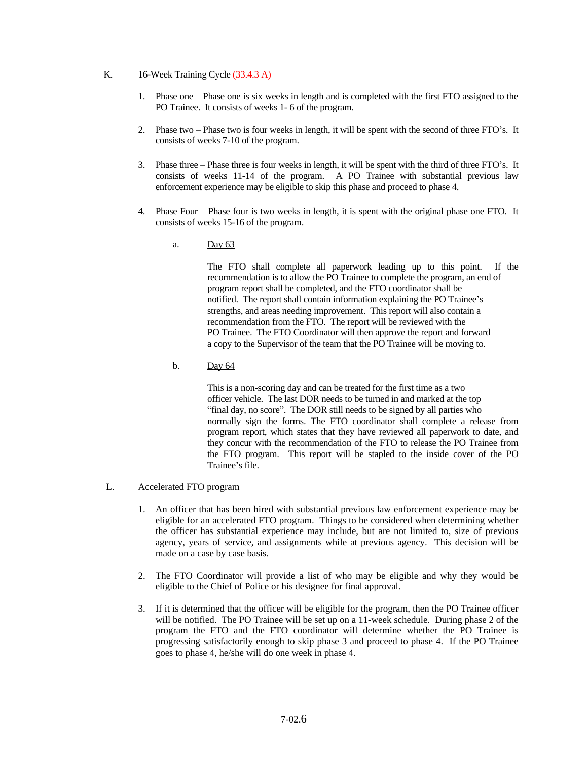# K. 16-Week Training Cycle (33.4.3 A)

- 1. Phase one Phase one is six weeks in length and is completed with the first FTO assigned to the PO Trainee. It consists of weeks 1- 6 of the program.
- 2. Phase two Phase two is four weeks in length, it will be spent with the second of three FTO's. It consists of weeks 7-10 of the program.
- 3. Phase three Phase three is four weeks in length, it will be spent with the third of three FTO's. It consists of weeks 11-14 of the program. A PO Trainee with substantial previous law enforcement experience may be eligible to skip this phase and proceed to phase 4.
- 4. Phase Four Phase four is two weeks in length, it is spent with the original phase one FTO. It consists of weeks 15-16 of the program.
	- a. Day 63

The FTO shall complete all paperwork leading up to this point. If the recommendation is to allow the PO Trainee to complete the program, an end of program report shall be completed, and the FTO coordinator shall be notified. The report shall contain information explaining the PO Trainee's strengths, and areas needing improvement. This report will also contain a recommendation from the FTO. The report will be reviewed with the PO Trainee. The FTO Coordinator will then approve the report and forward a copy to the Supervisor of the team that the PO Trainee will be moving to.

b. Day 64

This is a non-scoring day and can be treated for the first time as a two officer vehicle. The last DOR needs to be turned in and marked at the top "final day, no score". The DOR still needs to be signed by all parties who normally sign the forms. The FTO coordinator shall complete a release from program report, which states that they have reviewed all paperwork to date, and they concur with the recommendation of the FTO to release the PO Trainee from the FTO program. This report will be stapled to the inside cover of the PO Trainee's file.

- L. Accelerated FTO program
	- 1. An officer that has been hired with substantial previous law enforcement experience may be eligible for an accelerated FTO program. Things to be considered when determining whether the officer has substantial experience may include, but are not limited to, size of previous agency, years of service, and assignments while at previous agency. This decision will be made on a case by case basis.
	- 2. The FTO Coordinator will provide a list of who may be eligible and why they would be eligible to the Chief of Police or his designee for final approval.
	- 3. If it is determined that the officer will be eligible for the program, then the PO Trainee officer will be notified. The PO Trainee will be set up on a 11-week schedule. During phase 2 of the program the FTO and the FTO coordinator will determine whether the PO Trainee is progressing satisfactorily enough to skip phase 3 and proceed to phase 4. If the PO Trainee goes to phase 4, he/she will do one week in phase 4.